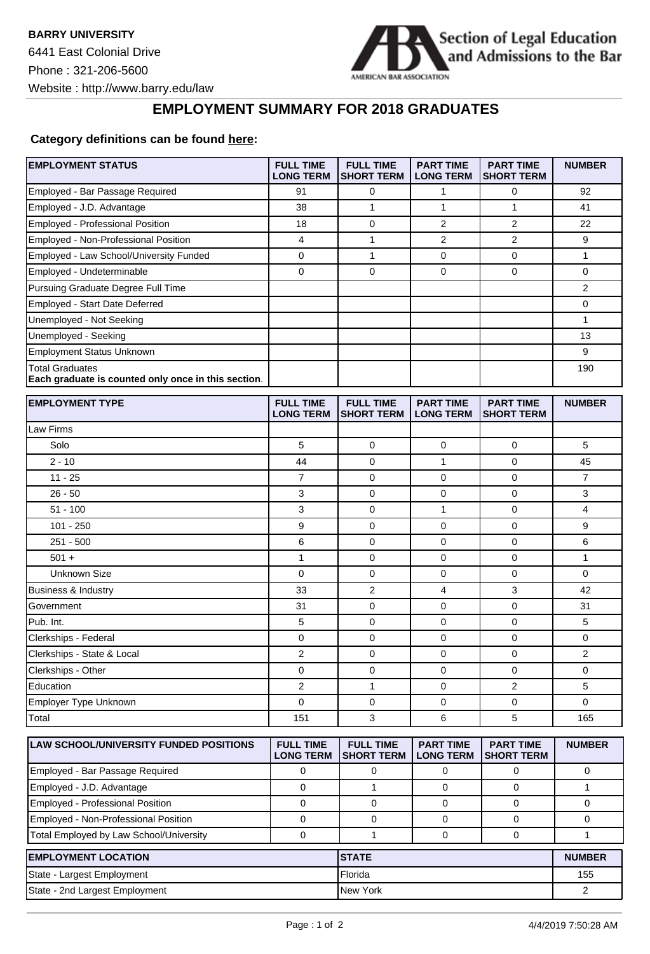**EMPLOYMENT STATUS** 



**FULL TIME PART TIME PART TIME NUMBER**

## **EMPLOYMENT SUMMARY FOR 2018 GRADUATES**

## **Category definitions can be found [here:](https://www.americanbar.org/content/dam/aba/administrative/legal_education_and_admissions_to_the_bar/2019-aba-employment-protocols-final-class-of-2018.pdf)**

|                                                                               | <b>LONG TERM</b>                     | SHORT TERM   LONG TERM                |                                      | <b>SHORT TERM</b>                     |                |
|-------------------------------------------------------------------------------|--------------------------------------|---------------------------------------|--------------------------------------|---------------------------------------|----------------|
| Employed - Bar Passage Required                                               | 91                                   | 0                                     | 1                                    | 0                                     | 92             |
| Employed - J.D. Advantage                                                     | 38                                   | $\mathbf{1}$                          | 1                                    | $\mathbf{1}$                          | 41             |
| Employed - Professional Position                                              | 18                                   | 0                                     | 2                                    | 2                                     | 22             |
| Employed - Non-Professional Position                                          | 4                                    | 1                                     | 2                                    | 2                                     | 9              |
| Employed - Law School/University Funded                                       | 0                                    | $\mathbf{1}$                          | 0                                    | $\mathbf 0$                           | $\mathbf{1}$   |
| Employed - Undeterminable                                                     | 0                                    | 0                                     | 0                                    | $\mathbf 0$                           | 0              |
| Pursuing Graduate Degree Full Time                                            |                                      |                                       |                                      |                                       | 2              |
| Employed - Start Date Deferred                                                |                                      |                                       |                                      |                                       | 0              |
| Unemployed - Not Seeking                                                      |                                      |                                       |                                      |                                       | 1              |
| Unemployed - Seeking                                                          |                                      |                                       |                                      |                                       | 13             |
| Employment Status Unknown                                                     |                                      |                                       |                                      |                                       | 9              |
| <b>Total Graduates</b><br>Each graduate is counted only once in this section. |                                      |                                       |                                      |                                       | 190            |
| <b>EMPLOYMENT TYPE</b>                                                        | <b>FULL TIME</b><br><b>LONG TERM</b> | <b>FULL TIME</b><br><b>SHORT TERM</b> | <b>PART TIME</b><br><b>LONG TERM</b> | <b>PART TIME</b><br><b>SHORT TERM</b> | <b>NUMBER</b>  |
| Law Firms                                                                     |                                      |                                       |                                      |                                       |                |
| Solo                                                                          | 5                                    | 0                                     | 0                                    | 0                                     | 5              |
| $2 - 10$                                                                      | 44                                   | 0                                     | 1                                    | $\mathbf 0$                           | 45             |
| $11 - 25$                                                                     | $\overline{7}$                       | 0                                     | 0                                    | 0                                     | 7              |
| $26 - 50$                                                                     | 3                                    | 0                                     | 0                                    | $\mathbf 0$                           | 3              |
| $51 - 100$                                                                    | 3                                    | 0                                     | 1                                    | 0                                     | 4              |
| $101 - 250$                                                                   | 9                                    | 0                                     | 0                                    | $\mathbf 0$                           | 9              |
| $251 - 500$                                                                   | 6                                    | $\mathbf 0$                           | 0                                    | 0                                     | 6              |
| $501 +$                                                                       | 1                                    | 0                                     | 0                                    | 0                                     | 1              |
| <b>Unknown Size</b>                                                           | $\mathbf 0$                          | 0                                     | 0                                    | $\mathbf 0$                           | 0              |
| Business & Industry                                                           | 33                                   | 2                                     | 4                                    | 3                                     | 42             |
| Government                                                                    | 31                                   | 0                                     | 0                                    | $\mathbf 0$                           | 31             |
| Pub. Int.                                                                     | 5                                    | 0                                     | 0                                    | 0                                     | 5              |
| Clerkships - Federal                                                          | 0                                    | 0                                     | 0                                    | $\mathbf 0$                           | 0              |
| Clerkships - State & Local                                                    | $\overline{2}$                       | 0                                     | 0                                    | $\mathbf 0$                           | 2              |
| Clerkships - Other                                                            | 0                                    | 0                                     | 0                                    | 0                                     | 0              |
| Education                                                                     | $\overline{2}$                       | $\mathbf{1}$                          | 0                                    | 2                                     | 5              |
| Employer Type Unknown                                                         | $\mathbf 0$                          | 0                                     | 0                                    | $\mathbf 0$                           | 0              |
| Total                                                                         | 151                                  | 3                                     | 6                                    | 5                                     | 165            |
|                                                                               |                                      |                                       |                                      |                                       |                |
| <b>LAW SCHOOL/UNIVERSITY FUNDED POSITIONS</b>                                 | <b>FULL TIME</b><br><b>LONG TERM</b> | <b>FULL TIME</b><br><b>SHORT TERM</b> | <b>PART TIME</b><br><b>LONG TERM</b> | <b>PART TIME</b><br><b>SHORT TERM</b> | <b>NUMBER</b>  |
| Employed - Bar Passage Required                                               | 0                                    | 0                                     | 0                                    | 0                                     | 0              |
| Employed - J.D. Advantage                                                     | $\mathbf 0$                          | $\mathbf{1}$                          | $\mathbf 0$                          | $\mathbf 0$                           | 1              |
| Employed - Professional Position                                              | $\mathbf 0$                          | 0                                     | 0                                    | 0                                     | 0              |
| Employed - Non-Professional Position                                          | $\mathbf 0$                          | 0                                     | 0                                    | $\mathbf 0$                           | 0              |
| Total Employed by Law School/University                                       | 0                                    | 1                                     | 0                                    | 0                                     | 1              |
| <b>EMPLOYMENT LOCATION</b>                                                    |                                      | <b>STATE</b>                          |                                      |                                       | <b>NUMBER</b>  |
| State - Largest Employment                                                    |                                      | Florida                               |                                      | 155                                   |                |
| State - 2nd Largest Employment                                                |                                      | New York                              |                                      |                                       | $\overline{a}$ |